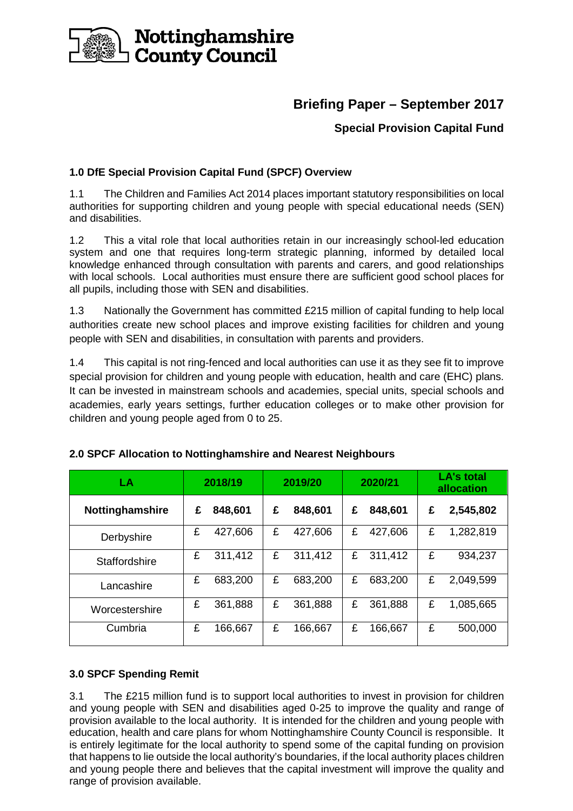

# **Briefing Paper – September 2017**

# **Special Provision Capital Fund**

# **1.0 DfE Special Provision Capital Fund (SPCF) Overview**

1.1 The Children and Families Act 2014 places important statutory responsibilities on local authorities for supporting children and young people with special educational needs (SEN) and disabilities.

1.2 This a vital role that local authorities retain in our increasingly school-led education system and one that requires long-term strategic planning, informed by detailed local knowledge enhanced through consultation with parents and carers, and good relationships with local schools. Local authorities must ensure there are sufficient good school places for all pupils, including those with SEN and disabilities.

1.3 Nationally the Government has committed £215 million of capital funding to help local authorities create new school places and improve existing facilities for children and young people with SEN and disabilities, in consultation with parents and providers.

1.4 This capital is not ring-fenced and local authorities can use it as they see fit to improve special provision for children and young people with education, health and care (EHC) plans. It can be invested in mainstream schools and academies, special units, special schools and academies, early years settings, further education colleges or to make other provision for children and young people aged from 0 to 25.

| LA                     | 2018/19 |         | 2019/20 |         | 2020/21 |         | <b>LA's total</b><br>allocation |           |
|------------------------|---------|---------|---------|---------|---------|---------|---------------------------------|-----------|
| <b>Nottinghamshire</b> | £       | 848,601 | £       | 848,601 | £       | 848,601 | £                               | 2,545,802 |
| Derbyshire             | £       | 427,606 | £       | 427,606 | £       | 427,606 | £                               | 1,282,819 |
| <b>Staffordshire</b>   | £       | 311,412 | £       | 311,412 | £       | 311,412 | £                               | 934,237   |
| Lancashire             | £       | 683,200 | £       | 683,200 | £       | 683,200 | £                               | 2,049,599 |
| Worcestershire         | £       | 361,888 | £       | 361,888 | £       | 361,888 | £                               | 1,085,665 |
| Cumbria                | £       | 166,667 | £       | 166,667 | £       | 166,667 | £                               | 500,000   |

# **2.0 SPCF Allocation to Nottinghamshire and Nearest Neighbours**

## **3.0 SPCF Spending Remit**

3.1 The £215 million fund is to support local authorities to invest in provision for children and young people with SEN and disabilities aged 0-25 to improve the quality and range of provision available to the local authority. It is intended for the children and young people with education, health and care plans for whom Nottinghamshire County Council is responsible. It is entirely legitimate for the local authority to spend some of the capital funding on provision that happens to lie outside the local authority's boundaries, if the local authority places children and young people there and believes that the capital investment will improve the quality and range of provision available.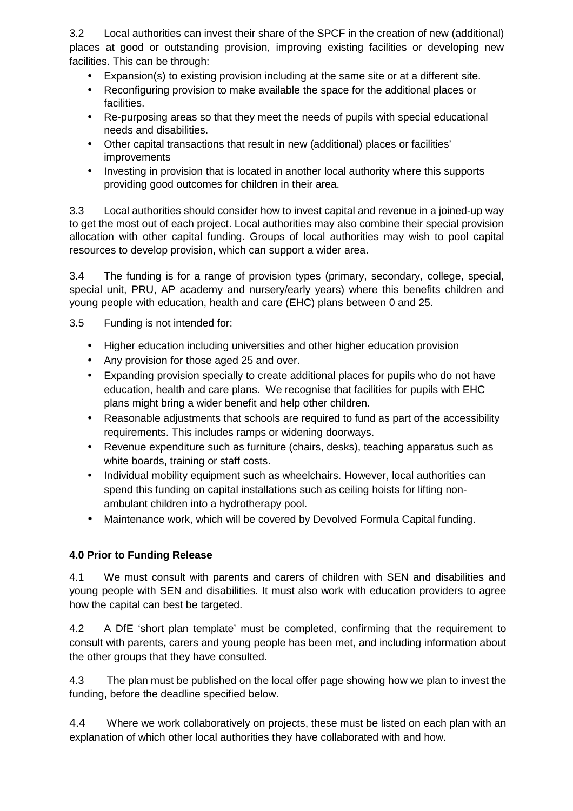3.2 Local authorities can invest their share of the SPCF in the creation of new (additional) places at good or outstanding provision, improving existing facilities or developing new facilities. This can be through:

- Expansion(s) to existing provision including at the same site or at a different site.
- Reconfiguring provision to make available the space for the additional places or facilities.
- Re-purposing areas so that they meet the needs of pupils with special educational needs and disabilities.
- Other capital transactions that result in new (additional) places or facilities' improvements
- Investing in provision that is located in another local authority where this supports providing good outcomes for children in their area.

3.3 Local authorities should consider how to invest capital and revenue in a joined-up way to get the most out of each project. Local authorities may also combine their special provision allocation with other capital funding. Groups of local authorities may wish to pool capital resources to develop provision, which can support a wider area.

3.4 The funding is for a range of provision types (primary, secondary, college, special, special unit, PRU, AP academy and nursery/early years) where this benefits children and young people with education, health and care (EHC) plans between 0 and 25.

3.5 Funding is not intended for:

- Higher education including universities and other higher education provision
- Any provision for those aged 25 and over.
- Expanding provision specially to create additional places for pupils who do not have education, health and care plans. We recognise that facilities for pupils with EHC plans might bring a wider benefit and help other children.
- Reasonable adjustments that schools are required to fund as part of the accessibility requirements. This includes ramps or widening doorways.
- Revenue expenditure such as furniture (chairs, desks), teaching apparatus such as white boards, training or staff costs.
- Individual mobility equipment such as wheelchairs. However, local authorities can spend this funding on capital installations such as ceiling hoists for lifting nonambulant children into a hydrotherapy pool.
- Maintenance work, which will be covered by Devolved Formula Capital funding.

# **4.0 Prior to Funding Release**

4.1 We must consult with parents and carers of children with SEN and disabilities and young people with SEN and disabilities. It must also work with education providers to agree how the capital can best be targeted.

4.2 A DfE 'short plan template' must be completed, confirming that the requirement to consult with parents, carers and young people has been met, and including information about the other groups that they have consulted.

4.3 The plan must be published on the local offer page showing how we plan to invest the funding, before the deadline specified below.

4.4 Where we work collaboratively on projects, these must be listed on each plan with an explanation of which other local authorities they have collaborated with and how.